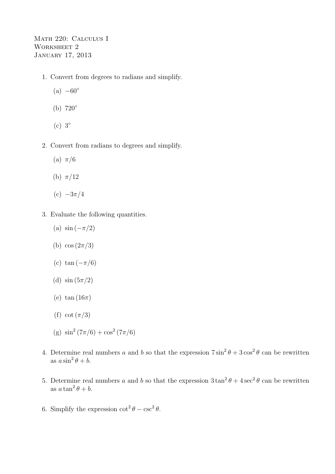Math 220: Calculus I WORKSHEET 2 January 17, 2013

- 1. Convert from degrees to radians and simplify.
	- $(a) -60^\circ$
	- (b) 720◦
	- (c) 3◦
- 2. Convert from radians to degrees and simplify.
	- (a)  $\pi/6$
	- (b)  $\pi/12$
	- (c)  $-3\pi/4$
- 3. Evaluate the following quantities.
	- (a)  $\sin(-\pi/2)$
	- (b)  $\cos(2\pi/3)$
	- (c) tan  $(-\pi/6)$
	- (d)  $\sin(5\pi/2)$
	- (e)  $\tan(16\pi)$
	- (f) cot  $(\pi/3)$
	- (g)  $\sin^2(7\pi/6) + \cos^2(7\pi/6)$
- 4. Determine real numbers a and b so that the expression  $7 \sin^2 \theta + 3 \cos^2 \theta$  can be rewritten as  $a\sin^2\theta + b$ .
- 5. Determine real numbers a and b so that the expression  $3\tan^2\theta + 4\sec^2\theta$  can be rewritten as  $a \tan^2 \theta + b$ .
- 6. Simplify the expression  $\cot^2 \theta \csc^2 \theta$ .